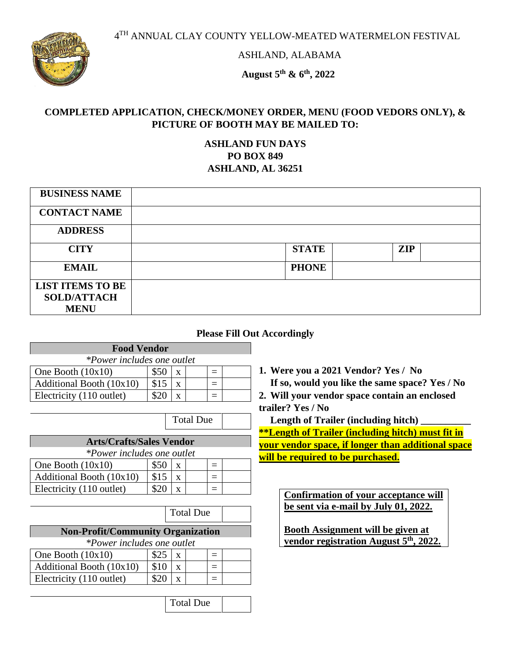4 TH ANNUAL CLAY COUNTY YELLOW-MEATED WATERMELON FESTIVAL



ASHLAND, ALABAMA

**August 5th & 6th, 2022**

#### **COMPLETED APPLICATION, CHECK/MONEY ORDER, MENU (FOOD VEDORS ONLY), & PICTURE OF BOOTH MAY BE MAILED TO:**

### **ASHLAND FUN DAYS PO BOX 849 ASHLAND, AL 36251**

| <b>BUSINESS NAME</b>    |              |            |
|-------------------------|--------------|------------|
| <b>CONTACT NAME</b>     |              |            |
| <b>ADDRESS</b>          |              |            |
| <b>CITY</b>             | <b>STATE</b> | <b>ZIP</b> |
| <b>EMAIL</b>            | <b>PHONE</b> |            |
| <b>LIST ITEMS TO BE</b> |              |            |
| <b>SOLD/ATTACH</b>      |              |            |
| <b>MENU</b>             |              |            |

#### **Please Fill Out Accordingly**

| <b>Food Vendor</b>                |      |              |  |  |  |
|-----------------------------------|------|--------------|--|--|--|
| <i>*Power includes one outlet</i> |      |              |  |  |  |
| One Booth $(10x10)$               | \$50 | $\mathbf{x}$ |  |  |  |
| Additional Booth $(10x10)$        | \$15 | $\mathbf{x}$ |  |  |  |
| Electricity (110 outlet)          |      |              |  |  |  |

Total Due

#### **Arts/Crafts/Sales Vendor**

| <i>*Power includes one outlet</i> |      |              |  |  |  |
|-----------------------------------|------|--------------|--|--|--|
| One Booth $(10x10)$               | \$50 | $\mathbf{x}$ |  |  |  |
| Additional Booth (10x10)          | \$15 |              |  |  |  |
| Electricity (110 outlet)          | \$20 |              |  |  |  |

Total Due

#### **Non-Profit/Community Organization**

*\*Power includes one outlet* One Booth  $(10x10)$   $\left| \begin{array}{c} 825 \ x \end{array} \right| =$ 

| Additional Booth (10x10) | \$10 |  |  |
|--------------------------|------|--|--|
| Electricity (110 outlet) | \$20 |  |  |
|                          |      |  |  |

Total Due

**1. Were you a 2021 Vendor? Yes / No**

**If so, would you like the same space? Yes / No**

**2. Will your vendor space contain an enclosed trailer? Yes / No** 

**Length of Trailer (including hitch) \_\_\_\_\_\_\_\_\_\_**

**\*\*Length of Trailer (including hitch) must fit in your vendor space, if longer than additional space will be required to be purchased.**

> **Confirmation of your acceptance will be sent via e-mail by July 01, 2022.**

> **Booth Assignment will be given at vendor registration August 5th, 2022.**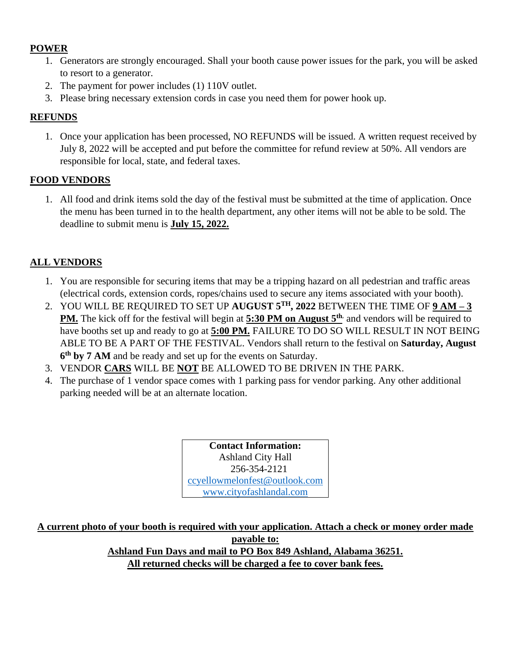#### **POWER**

- 1. Generators are strongly encouraged. Shall your booth cause power issues for the park, you will be asked to resort to a generator.
- 2. The payment for power includes (1) 110V outlet.
- 3. Please bring necessary extension cords in case you need them for power hook up.

## **REFUNDS**

1. Once your application has been processed, NO REFUNDS will be issued. A written request received by July 8, 2022 will be accepted and put before the committee for refund review at 50%. All vendors are responsible for local, state, and federal taxes.

### **FOOD VENDORS**

1. All food and drink items sold the day of the festival must be submitted at the time of application. Once the menu has been turned in to the health department, any other items will not be able to be sold. The deadline to submit menu is **July 15, 2022.**

## **ALL VENDORS**

- 1. You are responsible for securing items that may be a tripping hazard on all pedestrian and traffic areas (electrical cords, extension cords, ropes/chains used to secure any items associated with your booth).
- 2. YOU WILL BE REQUIRED TO SET UP **AUGUST 5TH, 2022** BETWEEN THE TIME OF **9 AM – 3 PM.** The kick off for the festival will begin at **5:30 PM on August 5th**, and vendors will be required to have booths set up and ready to go at **5:00 PM.** FAILURE TO DO SO WILL RESULT IN NOT BEING ABLE TO BE A PART OF THE FESTIVAL. Vendors shall return to the festival on **Saturday, August 6 th by 7 AM** and be ready and set up for the events on Saturday.
- 3. VENDOR **CARS** WILL BE **NOT** BE ALLOWED TO BE DRIVEN IN THE PARK.
- 4. The purchase of 1 vendor space comes with 1 parking pass for vendor parking. Any other additional parking needed will be at an alternate location.

**Contact Information:**  Ashland City Hall 256-354-2121 [ccyellowmelonfest@outlook.com](mailto:ccyellowmelonfest@outlook.com) [www.cityofashlandal.com](http://www.cityofashlandal.com/)

**A current photo of your booth is required with your application. Attach a check or money order made payable to: Ashland Fun Days and mail to PO Box 849 Ashland, Alabama 36251. All returned checks will be charged a fee to cover bank fees.**